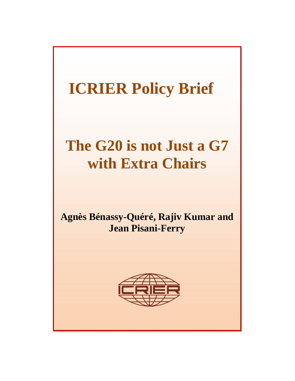# **The G20 is not Just a G7 with Extra Chairs**

**Agnès Bénassy-Quéré, Rajiv Kumar and Jean Pisani-Ferry** 

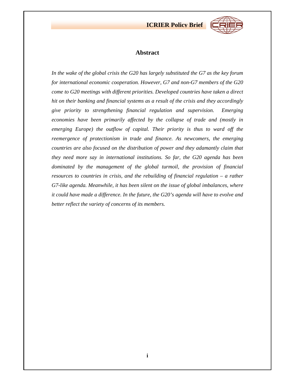

## **Abstract**

*In the wake of the global crisis the G20 has largely substituted the G7 as the key forum for international economic cooperation. However, G7 and non-G7 members of the G20 come to G20 meetings with different priorities. Developed countries have taken a direct hit on their banking and financial systems as a result of the crisis and they accordingly give priority to strengthening financial regulation and supervision. Emerging economies have been primarily affected by the collapse of trade and (mostly in emerging Europe) the outflow of capital. Their priority is thus to ward off the reemergence of protectionism in trade and finance. As newcomers, the emerging countries are also focused on the distribution of power and they adamantly claim that they need more say in international institutions. So far, the G20 agenda has been dominated by the management of the global turmoil, the provision of financial resources to countries in crisis, and the rebuilding of financial regulation – a rather G7-like agenda. Meanwhile, it has been silent on the issue of global imbalances, where it could have made a difference. In the future, the G20's agenda will have to evolve and better reflect the variety of concerns of its members.*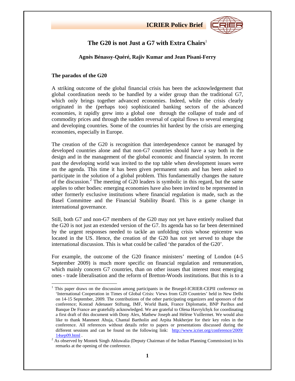

## **The G20 is not Just a G7 with Extra Chairs**<sup>1</sup>

## **Agnès Bénassy-Quéré, Rajiv Kumar and Jean Pisani-Ferry**

## **The paradox of the G20**

A striking outcome of the global financial crisis has been the acknowledgement that global coordination needs to be handled by a wider group than the traditional G7, which only brings together advanced economies. Indeed, while the crisis clearly originated in the (perhaps too) sophisticated banking sectors of the advanced economies, it rapidly grew into a global one through the collapse of trade and of commodity prices and through the sudden reversal of capital flows to several emerging and developing countries. Some of the countries hit hardest by the crisis are emerging economies, especially in Europe.

The creation of the G20 is recognition that interdependence cannot be managed by developed countries alone and that non-G7 countries should have a say both in the design and in the management of the global economic and financial system. In recent past the developing world was invited to the top table when development issues were on the agenda. This time it has been given permanent seats and has been asked to participate in the solution of a global problem. This fundamentally changes the nature of the discussion.<sup>2</sup> The meeting of G20 leaders is symbolic in this regard, but the same applies to other bodies: emerging economies have also been invited to be represented in other formerly exclusive institutions where financial regulation is made, such as the Basel Committee and the Financial Stability Board. This is a game change in international governance.

Still, both G7 and non-G7 members of the G20 may not yet have entirely realised that the G20 is not just an extended version of the G7. Its agenda has so far been determined by the urgent responses needed to tackle an unfolding crisis whose epicentre was located in the US. Hence, the creation of the G20 has not yet served to shape the international discussion. This is what could be called 'the paradox of the G20'.

For example, the outcome of the G20 finance ministers' meeting of London (4-5 September 2009) is much more specific on financial regulation and remuneration, which mainly concern G7 countries, than on other issues that interest most emerging ones - trade liberalisation and the reform of Bretton-Woods institutions. But this is to a

<sup>&</sup>lt;sup>1</sup> This paper draws on the discussion among participants in the Bruegel-ICRIER-CEPII conference on 'International Cooperation in Times of Global Crisis: Views from G20 Countries' held in New Delhi on 14-15 September, 2009. The contributions of the other participating organizers and sponsors of the conference; Konrad Adenauer Stiftung, IMF, World Bank, France Diplomatie, BNP Paribus and Banque De France are gratefully acknowledged. We are grateful to Olena Havrylchyk for coordinating a first draft of this document with Dony Alex, Mathew Joseph and Hélène Vuillermet. We would also like to thank Manmeet Ahuja, Chantal Bartholin and Arpita Mukherjee for their key roles in the conference. All references without details refer to papers or presentations discussed during the different sessions and can be found on the following link: http://www.icrier.org/conference/2009/

<sup>14</sup>sep09.html .<br><sup>2</sup> As observed by Montek Singh Ahluwalia (Deputy Chairman of the Indian Planning Commission) in his remarks at the opening of the conference.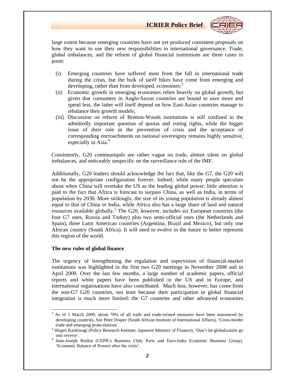

large extent because emerging countries have not yet produced consistent proposals on how they want to use their new responsibilities in international governance. Trade, global imbalances, and the reform of global financial institutions are three cases in point:

- (i) Emerging countries have suffered most from the fall in international trade during the crisis, but the bulk of tariff hikes have come from emerging and developing, rather than from developed, economies; $3$
- (ii) Economic growth in emerging economies relies heavily on global growth, but given that consumers in Anglo-Saxon countries are bound to save more and spend less, the latter will itself depend on how East-Asian countries manage to rebalance their growth models;
- (iii) Discussion on reform of Bretton-Woods institutions is still confined to the admittedly important question of quotas and voting rights, while the bigger issue of their role in the prevention of crisis and the acceptance of corresponding encroachments on national sovereignty remains highly sensitive, especially in Asia.<sup>4</sup>

Consistently, G20 communiqués are rather vague on trade, almost silent on global imbalances, and noticeably unspecific on the surveillance role of the IMF.

Additionally, G20 leaders should acknowledge the fact that, like the G7, the G20 will not be the appropriate configuration forever. Indeed, while many people speculate about when China will overtake the US as the leading global power, little attention is paid to the fact that Africa is forecast to surpass China, as well as India, in terms of population by 2030. More strikingly, the size of its young population is already almost equal to that of China or India, while Africa also has a large share of land and natural resources available globally.<sup>5</sup> The G20, however, includes six European countries (the four G7 ones, Russia and Turkey) plus two semi-official ones (the Netherlands and Spain), three Latin American countries (Argentina, Brazil and Mexico), but only one African country (South Africa). It will need to evolve in the future to better represent this region of the world.

#### **The new rules of global finance**

The urgency of strengthening the regulation and supervision of financial-market institutions was highlighted in the first two G20 meetings in November 2008 and in April 2009. Over the last few months, a large number of academic papers, official reports and white papers have been published in the US and in Europe, and international organisations have also contributed. Much less, however, has come from the non-G7 G20 countries, not least because their participation in global financial integration is much more limited: the G7 countries and other advanced economies

 $3$  As of 1 March 2009, about 78% of all trade and trade-related measures have been announced by developing countries. See Peter Draper (South African Institute of International Affairs), 'Cross-border trade and emerging protectionism'. <sup>4</sup>

<sup>&</sup>lt;sup>4</sup> Shigeo Kashiwagi (Policy Research Institute, Japanese Ministry of Finance), 'Don't let globalization go into reverse'. **<sup>5</sup>** Jean-Joseph Boillot (CEPII's Business Club, Paris and Euro-India Economic Business Group),

<sup>&#</sup>x27;Economic Balance of Powers after the crisis'.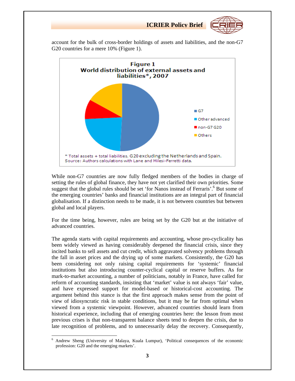

account for the bulk of cross-border holdings of assets and liabilities, and the non-G7 G20 countries for a mere 10% (Figure 1).



While non-G7 countries are now fully fledged members of the bodies in charge of setting the rules of global finance, they have not yet clarified their own priorities. Some suggest that the global rules should be set 'for Nanos instead of Ferraris'.<sup>6</sup> But some of the emerging countries' banks and financial institutions are an integral part of financial globalisation. If a distinction needs to be made, it is not between countries but between global and local players.

For the time being, however, rules are being set by the G20 but at the initiative of advanced countries.

The agenda starts with capital requirements and accounting, whose pro-cyclicality has been widely viewed as having considerably deepened the financial crisis, since they incited banks to sell assets and cut credit, which aggravated solvency problems through the fall in asset prices and the drying up of some markets. Consistently, the G20 has been considering not only raising capital requirements for 'systemic' financial institutions but also introducing counter-cyclical capital or reserve buffers. As for mark-to-market accounting, a number of politicians, notably in France, have called for reform of accounting standards, insisting that 'market' value is not always 'fair' value, and have expressed support for model-based or historical-cost accounting. The argument behind this stance is that the first approach makes sense from the point of view of idiosyncratic risk in stable conditions, but it may be far from optimal when viewed from a systemic viewpoint. However, advanced countries should learn from historical experience, including that of emerging countries here: the lesson from most previous crises is that non-transparent balance sheets tend to deepen the crisis, due to late recognition of problems, and to unnecessarily delay the recovery. Consequently,

 <sup>6</sup> Andrew Sheng (University of Malaya, Kuala Lumpur), 'Political consequences of the economic profession: G20 and the emerging markets'.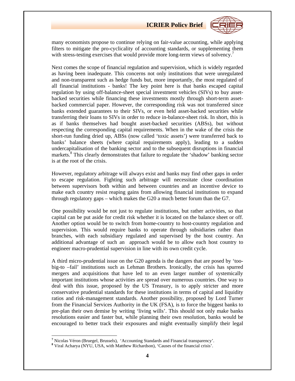

many economists propose to continue relying on fair-value accounting, while applying filters to mitigate the pro-cyclicality of accounting standards, or supplementing them with stress-testing exercises that would provide more long-term views of solvency.<sup>7</sup>

Next comes the scope of financial regulation and supervision, which is widely regarded as having been inadequate. This concerns not only institutions that were unregulated and non-transparent such as hedge funds but, more importantly, the most regulated of all financial institutions - banks! The key point here is that banks escaped capital regulation by using off-balance-sheet special investment vehicles (SIVs) to buy assetbacked securities while financing these investments mostly through short-term assetbacked commercial paper. However, the corresponding risk was not transferred since banks extended guarantees to their SIVs, or even held asset-backed securities while transferring their loans to SIVs in order to reduce in-balance-sheet risk. In short, this is as if banks themselves had bought asset-backed securities (ABSs), but without respecting the corresponding capital requirements. When in the wake of the crisis the short-run funding dried up, ABSs (now called 'toxic assets') were transferred back to banks' balance sheets (where capital requirements apply), leading to a sudden undercapitalisation of the banking sector and to the subsequent disruptions in financial markets.<sup>8</sup> This clearly demonstrates that failure to regulate the 'shadow' banking sector is at the root of the crisis.

However, regulatory arbitrage will always exist and banks may find other gaps in order to escape regulation. Fighting such arbitrage will necessitate close coordination between supervisors both within and between countries and an incentive device to make each country resist reaping gains from allowing financial institutions to expand through regulatory gaps – which makes the G20 a much better forum than the G7.

One possibility would be not just to regulate institutions, but rather activities, so that capital can be put aside for credit risk whether it is located on the balance sheet or off. Another option would be to switch from home-country to host-country regulation and supervision. This would require banks to operate through subsidiaries rather than branches, with each subsidiary regulated and supervised by the host country. An additional advantage of such an approach would be to allow each host country to engineer macro-prudential supervision in line with its own credit cycle.

A third micro-prudential issue on the G20 agenda is the dangers that are posed by 'toobig-to –fail' institutions such as Lehman Brothers. Ironically, the crisis has spurred mergers and acquisitions that have led to an even larger number of systemically important institutions whose activities are spread over numerous countries. One way to deal with this issue, proposed by the US Treasury, is to apply stricter and more conservative prudential standards for these institutions in terms of capital and liquidity ratios and risk-management standards. Another possibility, proposed by Lord Turner from the Financial Services Authority in the UK (FSA), is to force the biggest banks to pre-plan their own demise by writing 'living wills'. This should not only make banks resolutions easier and faster but, while planning their own resolution, banks would be encouraged to better track their exposures and might eventually simplify their legal

 **<sup>7</sup>** Nicolas Véron (Bruegel, Brussels), 'Accounting Standards and Financial transparency'.

**<sup>8</sup>** Viral Acharya (NYU, USA, with Matthew Richardson), 'Causes of the financial crisis'.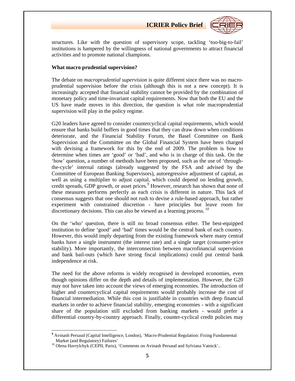

structures. Like with the question of supervisory scope, tackling 'too-big-to-fail' institutions is hampered by the willingness of national governments to attract financial activities and to promote national champions.

#### **What macro prudential supervision?**

The debate on *macroprudential supervision* is quite different since there was no macroprudential supervision before the crisis (although this is not a new concept). It is increasingly accepted that financial stability cannot be provided by the combination of monetary policy and time-invariant capital requirements. Now that both the EU and the US have made moves in this direction, the question is what role macroprudential supervision will play in the policy regime.

G20 leaders have agreed to consider countercyclical capital requirements, which would ensure that banks build buffers in good times that they can draw down when conditions deteriorate, and the Financial Stability Forum, the Basel Committee on Bank Supervision and the Committee on the Global Financial System have been charged with devising a framework for this by the end of 2009. The problem is how to determine when times are 'good' or 'bad', and who is in charge of this task. On the 'how' question, a number of methods have been proposed, such as the use of 'throughthe-cycle' internal ratings (already suggested by the FSA and advised by the Committee of European Banking Supervisors), autoregressive adjustment of capital, as well as using a multiplier to adjust capital, which could depend on lending growth, credit spreads, GDP growth, or asset prices.<sup>9</sup> However, research has shown that none of these measures performs perfectly as each crisis is different in nature. This lack of consensus suggests that one should not rush to devise a rule-based approach, but rather experiment with constrained discretion - have principles but leave room for discretionary decisions. This can also be viewed as a learning process.<sup>10</sup>

On the 'who' question, there is still no broad consensus either. The best-equipped institution to define 'good' and 'bad' times would be the central bank of each country. However, this would imply departing from the existing framework where many central banks have a single instrument (the interest rate) and a single target (consumer-price stability). More importantly, the interconnection between macrofinancial supervision and bank bail-outs (which have strong fiscal implications) could put central bank independence at risk.

The need for the above reforms is widely recognised in developed economies, even though opinions differ on the depth and details of implementation. However, the G20 may not have taken into account the views of emerging economies. The introduction of higher and countercyclical capital requirements would probably increase the cost of financial intermediation. While this cost is justifiable in countries with deep financial markets in order to achieve financial stability, emerging economies - with a significant share of the population still excluded from banking markets - would prefer a differential country-by-country approach. Finally, counter-cyclical credit policies may

<sup>&</sup>lt;sup>9</sup> Avinash Persaud (Capital Intelligence, London), 'Macro-Prudential Regulation: Fixing Fundamental Market (and Regulatory) Failures' 10 Olena Havrylchyk (CEPII, Paris), 'Comments on Avinash Persaud and Sylviana Vatnick'..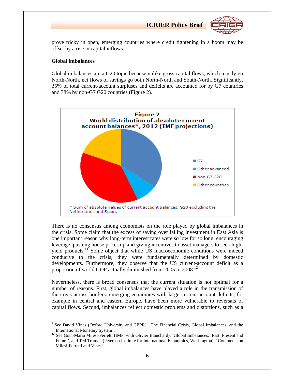

prove tricky in open, emerging countries where credit tightening in a boom may be offset by a rise in capital inflows.

#### **Global imbalances**

Global imbalances are a G20 topic because unlike gross capital flows, which mostly go North-North, net flows of savings go both North-North and South-North. Significantly, 35% of total current-account surpluses and deficits are accounted for by G7 countries and 38% by non-G7 G20 countries (Figure 2).



There is no consensus among economists on the role played by global imbalances in the crisis. Some claim that the excess of saving over falling investment in East Asia is one important reason why long-term interest rates were so low for so long, encouraging leverage, pushing house prices up and giving incentives to asset managers to seek highyield products.<sup>11</sup> Some object that while US macroeconomic conditions were indeed conducive to the crisis, they were fundamentally determined by domestic developments. Furthermore, they observe that the US current-account deficit as a proportion of world GDP actually diminished from 2005 to 2008.<sup>12</sup>

Nevertheless, there is broad consensus that the current situation is not optimal for a number of reasons. First, global imbalances have played a role in the transmission of the crisis across borders: emerging economies with large current-account deficits, for example in central and eastern Europe, have been more vulnerable to reversals of capital flows. Second, imbalances reflect domestic problems and distortions, such as a

 <sup>11</sup>See David Vines (Oxford University and CEPR), 'The Financial Crisis, Global Imbalances, and the

International Monetary System'. **<sup>12</sup>** See Gian-Maria Milesi-Ferretti (IMF, with Olivier Blanchard), 'Global Imbalances: Past, Present and Future', and Ted Truman (Peterson Institute for International Economics, Washington), "Comments on Milesi-Ferretti and Vines"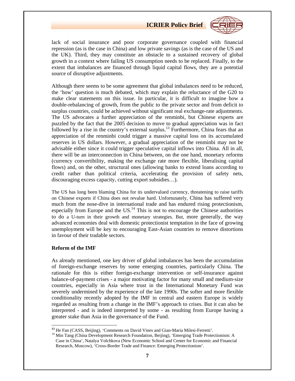

lack of social insurance and poor corporate governance coupled with financial repression (as is the case in China) and low private savings (as is the case of the US and the UK). Third, they may constitute an obstacle to a sustained recovery of global growth in a context where failing US consumption needs to be replaced. Finally, to the extent that imbalances are financed through liquid capital flows, they are a potential source of disruptive adjustments.

Although there seems to be some agreement that global imbalances need to be reduced, the 'how' question is much debated, which may explain the reluctance of the G20 to make clear statements on this issue. In particular, it is difficult to imagine how a double-rebalancing of growth, from the public to the private sector and from deficit to surplus countries, could be achieved without significant real exchange-rate adjustments. The US advocates a further appreciation of the renminbi, but Chinese experts are puzzled by the fact that the 2005 decision to move to gradual appreciation was in fact followed by a rise in the country's external surplus.<sup>13</sup> Furthermore, China fears that an appreciation of the renminbi could trigger a massive capital loss on its accumulated reserves in US dollars. However, a gradual appreciation of the renminbi may not be advisable either since it could trigger speculative capital inflows into China. All in all, there will be an interconnection in China between, on the one hand, monetary reforms (currency convertibility, making the exchange rate more flexible, liberalising capital flows) and, on the other, structural ones (allowing banks to extend loans according to credit rather than political criteria, accelerating the provision of safety nets, discouraging excess capacity, cutting export subsidies…).

The US has long been blaming China for its undervalued currency, threatening to raise tariffs on Chinese exports if China does not revalue hard. Unfortunately, China has suffered very much from the nose-dive in international trade and has endured rising protectionism, especially from Europe and the  $US<sup>14</sup>$ . This is not to encourage the Chinese authorities to do a U-turn in their growth and monetary strategies. But, more generally, the way advanced economies deal with domestic protectionist temptation in the face of growing unemployment will be key to encouraging East-Asian countries to remove distortions in favour of their tradable sectors.

#### **Reform of the IMF**

As already mentioned, one key driver of global imbalances has been the accumulation of foreign-exchange reserves by some emerging countries, particularly China. The rationale for this is either foreign-exchange intervention or self-insurance against balance-of-payment crises - a major motivating factor for many small and medium-size countries, especially in Asia where trust in the International Monetary Fund was severely undermined by the experience of the late 1990s. The softer and more flexible conditionality recently adopted by the IMF in central and eastern Europe is widely regarded as resulting from a change in the IMF's approach to crises. But it can also be interpreted - and is indeed interpreted by some - as resulting from Europe having a greater stake than Asia in the governance of the Fund.

<sup>&</sup>lt;sup>13</sup> He Fan (CASS, Beijing), 'Comments on David Vines and Gian-Maria Milesi-Ferretti'.<br><sup>14</sup> Min Tang (China Development Research Foundation, Beijing), 'Emerging Trade Protectionism: A Case in China', Natalya Volchkova (New Economic School and Center for Economic and Financial Research, Moscow), 'Cross-Border Trade and Finance: Emerging Protectionism'.